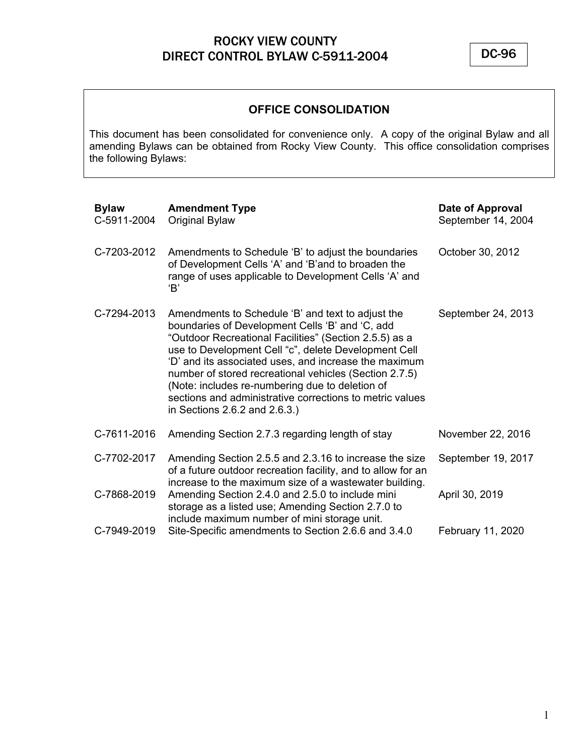DC-96

### **OFFICE CONSOLIDATION**

This document has been consolidated for convenience only. A copy of the original Bylaw and all amending Bylaws can be obtained from Rocky View County. This office consolidation comprises the following Bylaws:

| <b>Bylaw</b><br>C-5911-2004 | <b>Amendment Type</b><br><b>Original Bylaw</b>                                                                                                                                                                                                                                                                                                                                                                                                                                            | Date of Approval<br>September 14, 2004 |
|-----------------------------|-------------------------------------------------------------------------------------------------------------------------------------------------------------------------------------------------------------------------------------------------------------------------------------------------------------------------------------------------------------------------------------------------------------------------------------------------------------------------------------------|----------------------------------------|
| C-7203-2012                 | Amendments to Schedule 'B' to adjust the boundaries<br>of Development Cells 'A' and 'B'and to broaden the<br>range of uses applicable to Development Cells 'A' and<br>'B'                                                                                                                                                                                                                                                                                                                 | October 30, 2012                       |
| C-7294-2013                 | Amendments to Schedule 'B' and text to adjust the<br>boundaries of Development Cells 'B' and 'C, add<br>"Outdoor Recreational Facilities" (Section 2.5.5) as a<br>use to Development Cell "c", delete Development Cell<br>'D' and its associated uses, and increase the maximum<br>number of stored recreational vehicles (Section 2.7.5)<br>(Note: includes re-numbering due to deletion of<br>sections and administrative corrections to metric values<br>in Sections 2.6.2 and 2.6.3.) | September 24, 2013                     |
| C-7611-2016                 | Amending Section 2.7.3 regarding length of stay                                                                                                                                                                                                                                                                                                                                                                                                                                           | November 22, 2016                      |
| C-7702-2017                 | Amending Section 2.5.5 and 2.3.16 to increase the size<br>of a future outdoor recreation facility, and to allow for an<br>increase to the maximum size of a wastewater building.                                                                                                                                                                                                                                                                                                          | September 19, 2017                     |
| C-7868-2019                 | Amending Section 2.4.0 and 2.5.0 to include mini<br>storage as a listed use; Amending Section 2.7.0 to<br>include maximum number of mini storage unit.                                                                                                                                                                                                                                                                                                                                    | April 30, 2019                         |
| C-7949-2019                 | Site-Specific amendments to Section 2.6.6 and 3.4.0                                                                                                                                                                                                                                                                                                                                                                                                                                       | February 11, 2020                      |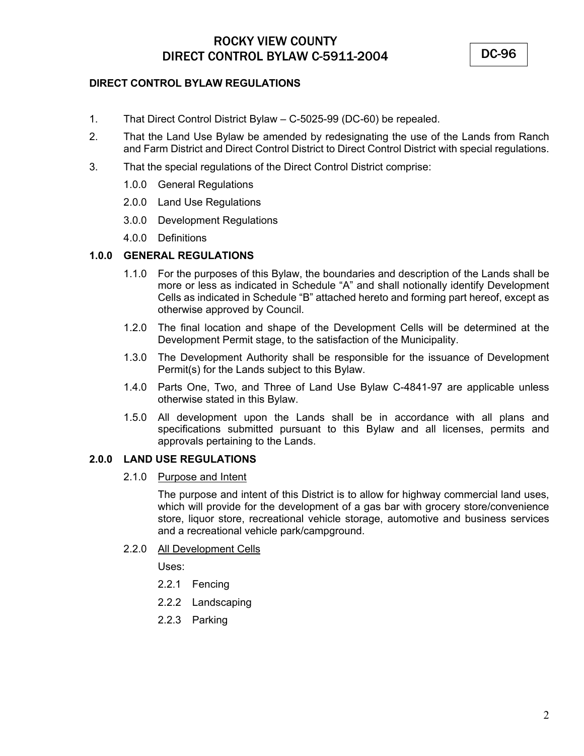### **DIRECT CONTROL BYLAW REGULATIONS**

- 1. That Direct Control District Bylaw C-5025-99 (DC-60) be repealed.
- 2. That the Land Use Bylaw be amended by redesignating the use of the Lands from Ranch and Farm District and Direct Control District to Direct Control District with special regulations.
- 3. That the special regulations of the Direct Control District comprise:
	- 1.0.0 General Regulations
	- 2.0.0 Land Use Regulations
	- 3.0.0 Development Regulations
	- 4.0.0 Definitions

#### **1.0.0 GENERAL REGULATIONS**

- 1.1.0 For the purposes of this Bylaw, the boundaries and description of the Lands shall be more or less as indicated in Schedule "A" and shall notionally identify Development Cells as indicated in Schedule "B" attached hereto and forming part hereof, except as otherwise approved by Council.
- 1.2.0 The final location and shape of the Development Cells will be determined at the Development Permit stage, to the satisfaction of the Municipality.
- 1.3.0 The Development Authority shall be responsible for the issuance of Development Permit(s) for the Lands subject to this Bylaw.
- 1.4.0 Parts One, Two, and Three of Land Use Bylaw C-4841-97 are applicable unless otherwise stated in this Bylaw.
- 1.5.0 All development upon the Lands shall be in accordance with all plans and specifications submitted pursuant to this Bylaw and all licenses, permits and approvals pertaining to the Lands.

### **2.0.0 LAND USE REGULATIONS**

2.1.0 Purpose and Intent

The purpose and intent of this District is to allow for highway commercial land uses, which will provide for the development of a gas bar with grocery store/convenience store, liquor store, recreational vehicle storage, automotive and business services and a recreational vehicle park/campground.

2.2.0 All Development Cells

Uses:

- 2.2.1 Fencing
- 2.2.2 Landscaping
- 2.2.3 Parking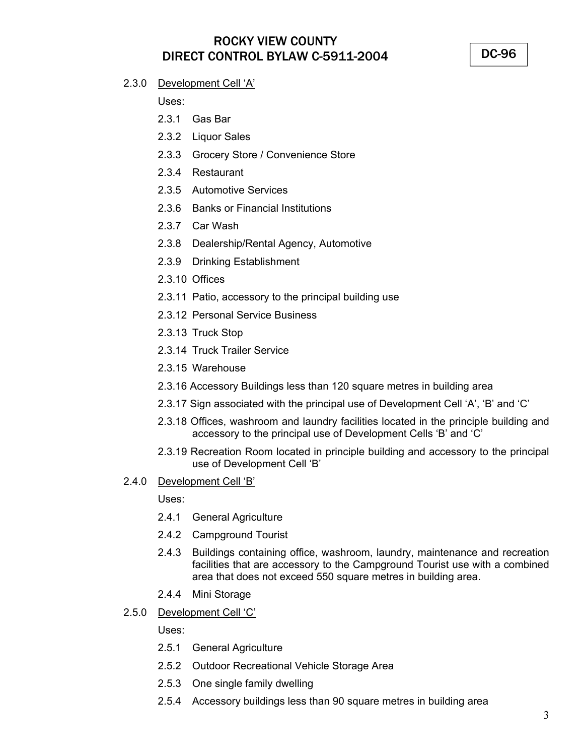DC-96

### 2.3.0 Development Cell 'A'

Uses:

- 2.3.1 Gas Bar
- 2.3.2 Liquor Sales
- 2.3.3 Grocery Store / Convenience Store
- 2.3.4 Restaurant
- 2.3.5 Automotive Services
- 2.3.6 Banks or Financial Institutions
- 2.3.7 Car Wash
- 2.3.8 Dealership/Rental Agency, Automotive
- 2.3.9 Drinking Establishment
- 2.3.10 Offices
- 2.3.11 Patio, accessory to the principal building use
- 2.3.12 Personal Service Business
- 2.3.13 Truck Stop
- 2.3.14 Truck Trailer Service
- 2.3.15 Warehouse
- 2.3.16 Accessory Buildings less than 120 square metres in building area
- 2.3.17 Sign associated with the principal use of Development Cell 'A', 'B' and 'C'
- 2.3.18 Offices, washroom and laundry facilities located in the principle building and accessory to the principal use of Development Cells 'B' and 'C'
- 2.3.19 Recreation Room located in principle building and accessory to the principal use of Development Cell 'B'
- 2.4.0 Development Cell 'B'

Uses:

- 2.4.1 General Agriculture
- 2.4.2 Campground Tourist
- 2.4.3 Buildings containing office, washroom, laundry, maintenance and recreation facilities that are accessory to the Campground Tourist use with a combined area that does not exceed 550 square metres in building area.
- 2.4.4 Mini Storage
- 2.5.0 Development Cell 'C'

Uses:

- 2.5.1 General Agriculture
- 2.5.2 Outdoor Recreational Vehicle Storage Area
- 2.5.3 One single family dwelling
- 2.5.4 Accessory buildings less than 90 square metres in building area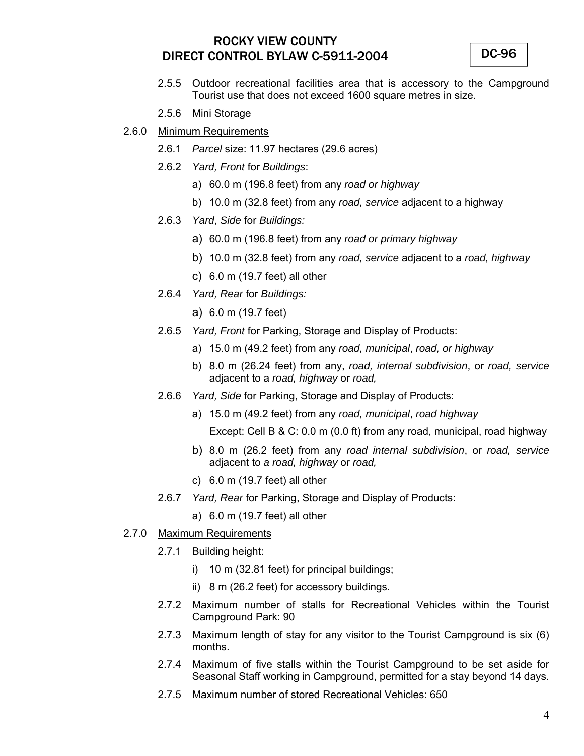DC-96

- 2.5.5 Outdoor recreational facilities area that is accessory to the Campground Tourist use that does not exceed 1600 square metres in size.
- 2.5.6 Mini Storage
- 2.6.0 Minimum Requirements
	- 2.6.1 *Parcel* size: 11.97 hectares (29.6 acres)
	- 2.6.2 *Yard, Front* for *Buildings*:
		- a) 60.0 m (196.8 feet) from any *road or highway*
		- b) 10.0 m (32.8 feet) from any *road, service* adjacent to a highway
	- 2.6.3 *Yard*, *Side* for *Buildings:*
		- a) 60.0 m (196.8 feet) from any *road or primary highway*
		- b) 10.0 m (32.8 feet) from any *road, service* adjacent to a *road, highway*
		- c) 6.0 m (19.7 feet) all other
	- 2.6.4 *Yard, Rear* for *Buildings:* 
		- a) 6.0 m (19.7 feet)
	- 2.6.5 *Yard, Front* for Parking, Storage and Display of Products:
		- a) 15.0 m (49.2 feet) from any *road, municipal*, *road, or highway*
		- b) 8.0 m (26.24 feet) from any, *road, internal subdivision*, or *road, service*  adjacent to a *road, highway* or *road,*
	- 2.6.6 *Yard, Side* for Parking, Storage and Display of Products:
		- a) 15.0 m (49.2 feet) from any *road, municipal*, *road highway*

Except: Cell B & C: 0.0 m (0.0 ft) from any road, municipal, road highway

- b) 8.0 m (26.2 feet) from any *road internal subdivision*, or *road, service*  adjacent to *a road, highway* or *road,*
- c) 6.0 m (19.7 feet) all other
- 2.6.7 *Yard, Rear* for Parking, Storage and Display of Products:
	- a) 6.0 m (19.7 feet) all other
- 2.7.0 Maximum Requirements
	- 2.7.1 Building height:
		- i) 10 m (32.81 feet) for principal buildings;
		- ii) 8 m (26.2 feet) for accessory buildings.
	- 2.7.2 Maximum number of stalls for Recreational Vehicles within the Tourist Campground Park: 90
	- 2.7.3 Maximum length of stay for any visitor to the Tourist Campground is six (6) months.
	- 2.7.4 Maximum of five stalls within the Tourist Campground to be set aside for Seasonal Staff working in Campground, permitted for a stay beyond 14 days.
	- 2.7.5 Maximum number of stored Recreational Vehicles: 650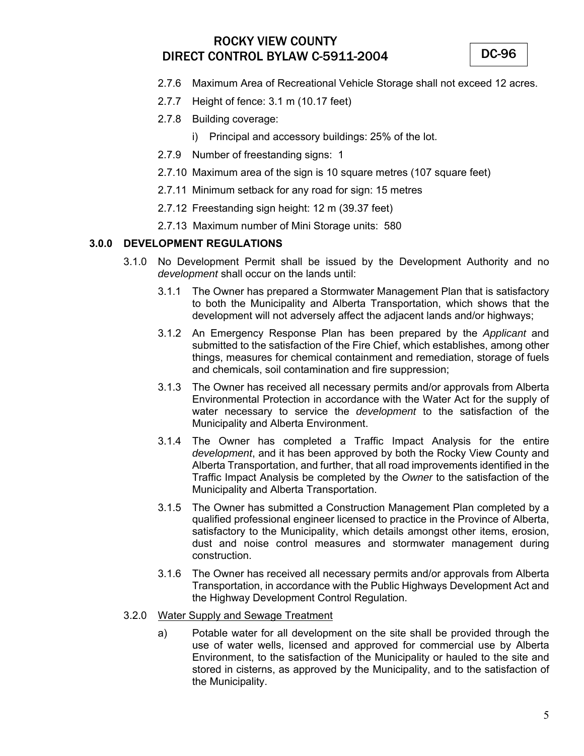DC-96

- 2.7.6 Maximum Area of Recreational Vehicle Storage shall not exceed 12 acres.
- 2.7.7 Height of fence: 3.1 m (10.17 feet)
- 2.7.8 Building coverage:
	- i) Principal and accessory buildings: 25% of the lot.
- 2.7.9 Number of freestanding signs: 1
- 2.7.10 Maximum area of the sign is 10 square metres (107 square feet)
- 2.7.11 Minimum setback for any road for sign: 15 metres
- 2.7.12 Freestanding sign height: 12 m (39.37 feet)
- 2.7.13 Maximum number of Mini Storage units: 580

### **3.0.0 DEVELOPMENT REGULATIONS**

- 3.1.0 No Development Permit shall be issued by the Development Authority and no *development* shall occur on the lands until:
	- 3.1.1 The Owner has prepared a Stormwater Management Plan that is satisfactory to both the Municipality and Alberta Transportation, which shows that the development will not adversely affect the adjacent lands and/or highways;
	- 3.1.2 An Emergency Response Plan has been prepared by the *Applicant* and submitted to the satisfaction of the Fire Chief, which establishes, among other things, measures for chemical containment and remediation, storage of fuels and chemicals, soil contamination and fire suppression;
	- 3.1.3 The Owner has received all necessary permits and/or approvals from Alberta Environmental Protection in accordance with the Water Act for the supply of water necessary to service the *development* to the satisfaction of the Municipality and Alberta Environment.
	- 3.1.4 The Owner has completed a Traffic Impact Analysis for the entire *development*, and it has been approved by both the Rocky View County and Alberta Transportation, and further, that all road improvements identified in the Traffic Impact Analysis be completed by the *Owner* to the satisfaction of the Municipality and Alberta Transportation.
	- 3.1.5 The Owner has submitted a Construction Management Plan completed by a qualified professional engineer licensed to practice in the Province of Alberta, satisfactory to the Municipality, which details amongst other items, erosion, dust and noise control measures and stormwater management during construction.
	- 3.1.6 The Owner has received all necessary permits and/or approvals from Alberta Transportation, in accordance with the Public Highways Development Act and the Highway Development Control Regulation.
- 3.2.0 Water Supply and Sewage Treatment
	- a) Potable water for all development on the site shall be provided through the use of water wells, licensed and approved for commercial use by Alberta Environment, to the satisfaction of the Municipality or hauled to the site and stored in cisterns, as approved by the Municipality, and to the satisfaction of the Municipality.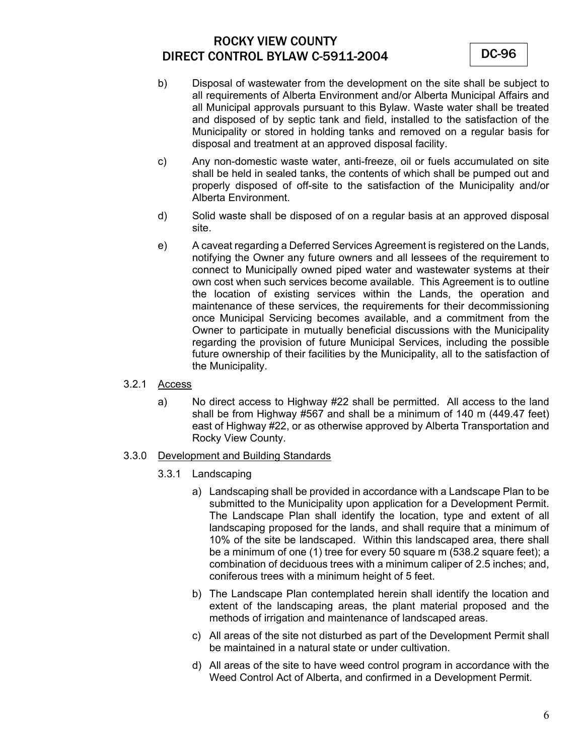- b) Disposal of wastewater from the development on the site shall be subject to all requirements of Alberta Environment and/or Alberta Municipal Affairs and all Municipal approvals pursuant to this Bylaw. Waste water shall be treated and disposed of by septic tank and field, installed to the satisfaction of the Municipality or stored in holding tanks and removed on a regular basis for disposal and treatment at an approved disposal facility.
- c) Any non-domestic waste water, anti-freeze, oil or fuels accumulated on site shall be held in sealed tanks, the contents of which shall be pumped out and properly disposed of off-site to the satisfaction of the Municipality and/or Alberta Environment.
- d) Solid waste shall be disposed of on a regular basis at an approved disposal site.
- e) A caveat regarding a Deferred Services Agreement is registered on the Lands, notifying the Owner any future owners and all lessees of the requirement to connect to Municipally owned piped water and wastewater systems at their own cost when such services become available. This Agreement is to outline the location of existing services within the Lands, the operation and maintenance of these services, the requirements for their decommissioning once Municipal Servicing becomes available, and a commitment from the Owner to participate in mutually beneficial discussions with the Municipality regarding the provision of future Municipal Services, including the possible future ownership of their facilities by the Municipality, all to the satisfaction of the Municipality.
- 3.2.1 Access
	- a) No direct access to Highway #22 shall be permitted. All access to the land shall be from Highway #567 and shall be a minimum of 140 m (449.47 feet) east of Highway #22, or as otherwise approved by Alberta Transportation and Rocky View County.
- 3.3.0 Development and Building Standards
	- 3.3.1 Landscaping
		- a) Landscaping shall be provided in accordance with a Landscape Plan to be submitted to the Municipality upon application for a Development Permit. The Landscape Plan shall identify the location, type and extent of all landscaping proposed for the lands, and shall require that a minimum of 10% of the site be landscaped. Within this landscaped area, there shall be a minimum of one (1) tree for every 50 square m (538.2 square feet); a combination of deciduous trees with a minimum caliper of 2.5 inches; and, coniferous trees with a minimum height of 5 feet.
		- b) The Landscape Plan contemplated herein shall identify the location and extent of the landscaping areas, the plant material proposed and the methods of irrigation and maintenance of landscaped areas.
		- c) All areas of the site not disturbed as part of the Development Permit shall be maintained in a natural state or under cultivation.
		- d) All areas of the site to have weed control program in accordance with the Weed Control Act of Alberta, and confirmed in a Development Permit.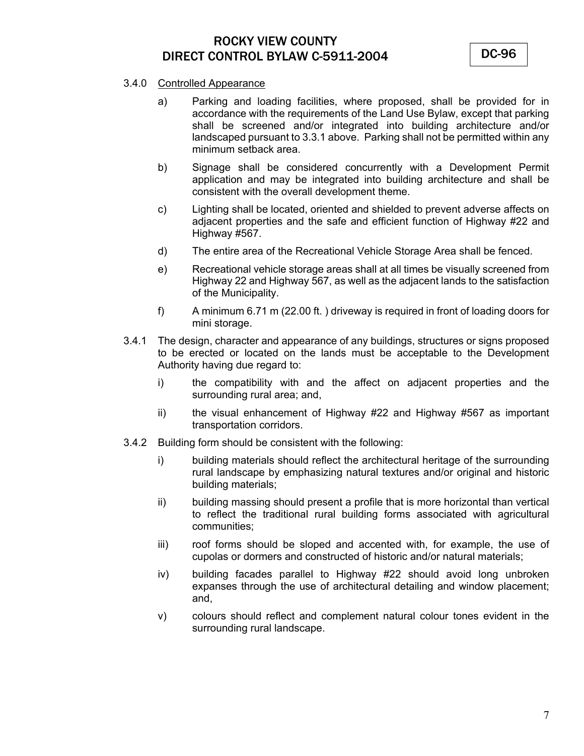DC-96

### 3.4.0 Controlled Appearance

- a) Parking and loading facilities, where proposed, shall be provided for in accordance with the requirements of the Land Use Bylaw, except that parking shall be screened and/or integrated into building architecture and/or landscaped pursuant to 3.3.1 above. Parking shall not be permitted within any minimum setback area.
- b) Signage shall be considered concurrently with a Development Permit application and may be integrated into building architecture and shall be consistent with the overall development theme.
- c) Lighting shall be located, oriented and shielded to prevent adverse affects on adjacent properties and the safe and efficient function of Highway #22 and Highway #567.
- d) The entire area of the Recreational Vehicle Storage Area shall be fenced.
- e) Recreational vehicle storage areas shall at all times be visually screened from Highway 22 and Highway 567, as well as the adjacent lands to the satisfaction of the Municipality.
- f) A minimum 6.71 m (22.00 ft. ) driveway is required in front of loading doors for mini storage.
- 3.4.1 The design, character and appearance of any buildings, structures or signs proposed to be erected or located on the lands must be acceptable to the Development Authority having due regard to:
	- i) the compatibility with and the affect on adjacent properties and the surrounding rural area; and,
	- ii) the visual enhancement of Highway #22 and Highway #567 as important transportation corridors.
- 3.4.2 Building form should be consistent with the following:
	- i) building materials should reflect the architectural heritage of the surrounding rural landscape by emphasizing natural textures and/or original and historic building materials;
	- ii) building massing should present a profile that is more horizontal than vertical to reflect the traditional rural building forms associated with agricultural communities;
	- iii) roof forms should be sloped and accented with, for example, the use of cupolas or dormers and constructed of historic and/or natural materials;
	- iv) building facades parallel to Highway #22 should avoid long unbroken expanses through the use of architectural detailing and window placement; and,
	- v) colours should reflect and complement natural colour tones evident in the surrounding rural landscape.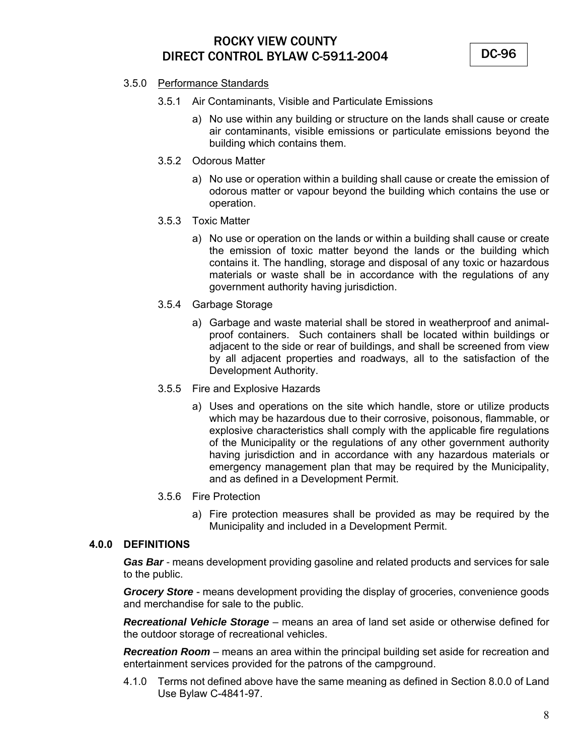DC-96

### 3.5.0 Performance Standards

- 3.5.1 Air Contaminants, Visible and Particulate Emissions
	- a) No use within any building or structure on the lands shall cause or create air contaminants, visible emissions or particulate emissions beyond the building which contains them.
- 3.5.2 Odorous Matter
	- a) No use or operation within a building shall cause or create the emission of odorous matter or vapour beyond the building which contains the use or operation.
- 3.5.3 Toxic Matter
	- a) No use or operation on the lands or within a building shall cause or create the emission of toxic matter beyond the lands or the building which contains it. The handling, storage and disposal of any toxic or hazardous materials or waste shall be in accordance with the regulations of any government authority having jurisdiction.
- 3.5.4 Garbage Storage
	- a) Garbage and waste material shall be stored in weatherproof and animalproof containers. Such containers shall be located within buildings or adjacent to the side or rear of buildings, and shall be screened from view by all adjacent properties and roadways, all to the satisfaction of the Development Authority.
- 3.5.5 Fire and Explosive Hazards
	- a) Uses and operations on the site which handle, store or utilize products which may be hazardous due to their corrosive, poisonous, flammable, or explosive characteristics shall comply with the applicable fire regulations of the Municipality or the regulations of any other government authority having jurisdiction and in accordance with any hazardous materials or emergency management plan that may be required by the Municipality, and as defined in a Development Permit.
- 3.5.6 Fire Protection
	- a) Fire protection measures shall be provided as may be required by the Municipality and included in a Development Permit.

### **4.0.0 DEFINITIONS**

*Gas Bar -* means development providing gasoline and related products and services for sale to the public.

*Grocery Store* - means development providing the display of groceries, convenience goods and merchandise for sale to the public.

*Recreational Vehicle Storage* – means an area of land set aside or otherwise defined for the outdoor storage of recreational vehicles.

*Recreation Room* – means an area within the principal building set aside for recreation and entertainment services provided for the patrons of the campground.

4.1.0 Terms not defined above have the same meaning as defined in Section 8.0.0 of Land Use Bylaw C-4841-97.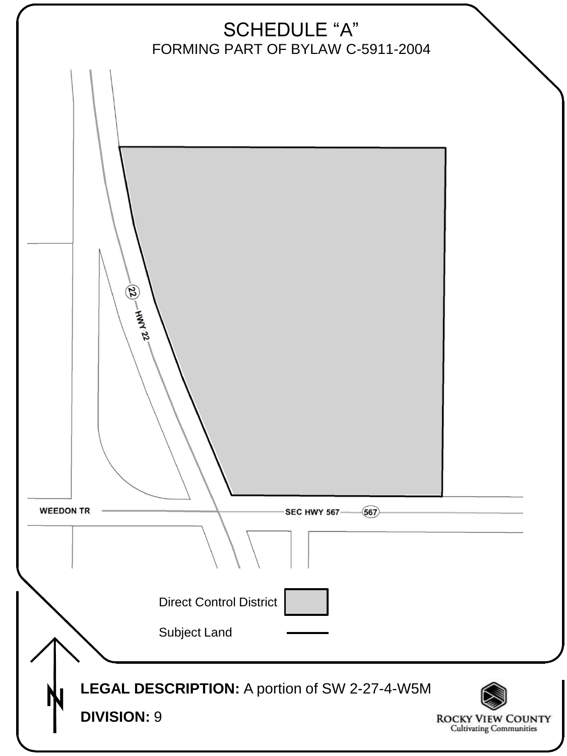